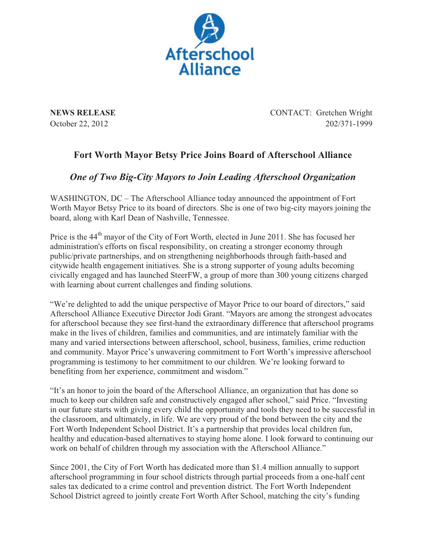

**NEWS RELEASE** CONTACT: Gretchen Wright October 22, 2012 202/371-1999

## **Fort Worth Mayor Betsy Price Joins Board of Afterschool Alliance**

## *One of Two Big-City Mayors to Join Leading Afterschool Organization*

WASHINGTON, DC – The Afterschool Alliance today announced the appointment of Fort Worth Mayor Betsy Price to its board of directors. She is one of two big-city mayors joining the board, along with Karl Dean of Nashville, Tennessee.

Price is the 44<sup>th</sup> mayor of the City of Fort Worth, elected in June 2011. She has focused her administration's efforts on fiscal responsibility, on creating a stronger economy through public/private partnerships, and on strengthening neighborhoods through faith-based and citywide health engagement initiatives. She is a strong supporter of young adults becoming civically engaged and has launched SteerFW, a group of more than 300 young citizens charged with learning about current challenges and finding solutions.

"We're delighted to add the unique perspective of Mayor Price to our board of directors," said Afterschool Alliance Executive Director Jodi Grant. "Mayors are among the strongest advocates for afterschool because they see first-hand the extraordinary difference that afterschool programs make in the lives of children, families and communities, and are intimately familiar with the many and varied intersections between afterschool, school, business, families, crime reduction and community. Mayor Price's unwavering commitment to Fort Worth's impressive afterschool programming is testimony to her commitment to our children. We're looking forward to benefiting from her experience, commitment and wisdom."

"It's an honor to join the board of the Afterschool Alliance, an organization that has done so much to keep our children safe and constructively engaged after school," said Price. "Investing in our future starts with giving every child the opportunity and tools they need to be successful in the classroom, and ultimately, in life. We are very proud of the bond between the city and the Fort Worth Independent School District. It's a partnership that provides local children fun, healthy and education-based alternatives to staying home alone. I look forward to continuing our work on behalf of children through my association with the Afterschool Alliance."

Since 2001, the City of Fort Worth has dedicated more than \$1.4 million annually to support afterschool programming in four school districts through partial proceeds from a one-half cent sales tax dedicated to a crime control and prevention district. The Fort Worth Independent School District agreed to jointly create Fort Worth After School, matching the city's funding